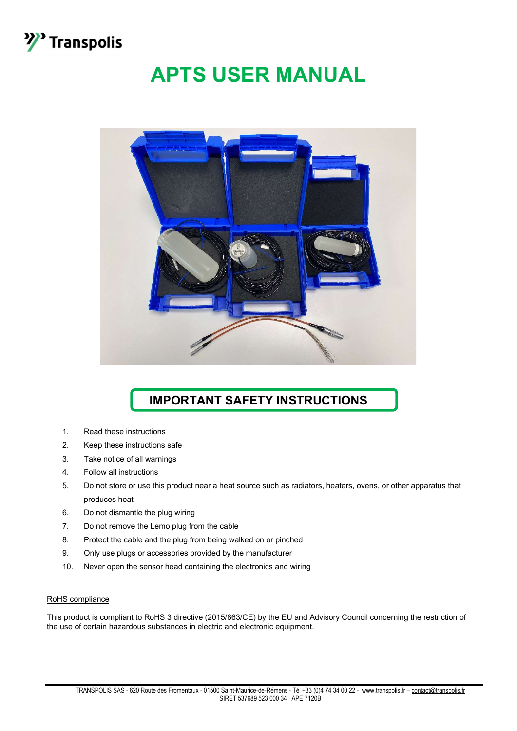

# APTS USER MANUAL



### IMPORTANT SAFETY INSTRUCTIONS

- 1. Read these instructions
- 2. Keep these instructions safe
- 3. Take notice of all warnings
- 4. Follow all instructions
- 5. Do not store or use this product near a heat source such as radiators, heaters, ovens, or other apparatus that produces heat
- 6. Do not dismantle the plug wiring
- 7. Do not remove the Lemo plug from the cable
- 8. Protect the cable and the plug from being walked on or pinched
- 9. Only use plugs or accessories provided by the manufacturer
- 10. Never open the sensor head containing the electronics and wiring

#### RoHS compliance

This product is compliant to RoHS 3 directive (2015/863/CE) by the EU and Advisory Council concerning the restriction of the use of certain hazardous substances in electric and electronic equipment.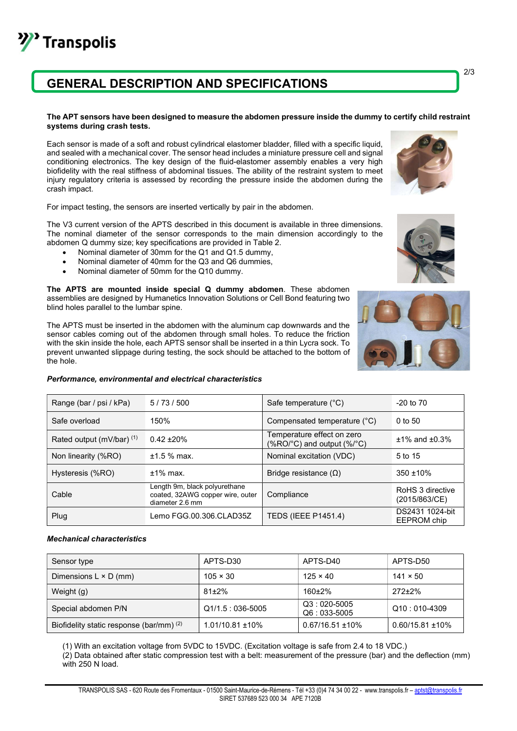### GENERAL DESCRIPTION AND SPECIFICATIONS

#### The APT sensors have been designed to measure the abdomen pressure inside the dummy to certify child restraint systems during crash tests.

Each sensor is made of a soft and robust cylindrical elastomer bladder, filled with a specific liquid, and sealed with a mechanical cover. The sensor head includes a miniature pressure cell and signal conditioning electronics. The key design of the fluid-elastomer assembly enables a very high biofidelity with the real stiffness of abdominal tissues. The ability of the restraint system to meet injury regulatory criteria is assessed by recording the pressure inside the abdomen during the crash impact.

For impact testing, the sensors are inserted vertically by pair in the abdomen.

The V3 current version of the APTS described in this document is available in three dimensions. The nominal diameter of the sensor corresponds to the main dimension accordingly to the abdomen Q dummy size; key specifications are provided in Table 2.

- Nominal diameter of 30mm for the Q1 and Q1.5 dummy,
- Nominal diameter of 40mm for the Q3 and Q6 dummies,
- Nominal diameter of 50mm for the Q10 dummy.

The APTS are mounted inside special Q dummy abdomen. These abdomen assemblies are designed by Humanetics Innovation Solutions or Cell Bond featuring two blind holes parallel to the lumbar spine.

The APTS must be inserted in the abdomen with the aluminum cap downwards and the sensor cables coming out of the abdomen through small holes. To reduce the friction with the skin inside the hole, each APTS sensor shall be inserted in a thin Lycra sock. To prevent unwanted slippage during testing, the sock should be attached to the bottom of the hole.

#### Performance, environmental and electrical characteristics

| Range (bar / psi / kPa)     | 5/73/500                                                                             | Safe temperature (°C)                                        | $-20$ to $70$                     |
|-----------------------------|--------------------------------------------------------------------------------------|--------------------------------------------------------------|-----------------------------------|
| Safe overload               | 150%                                                                                 | Compensated temperature (°C)                                 | $0$ to 50                         |
| Rated output (mV/bar) $(1)$ | $0.42 + 20%$                                                                         | Temperature effect on zero<br>$(\%$ RO/°C) and output (%/°C) | $±1\%$ and $±0.3\%$               |
| Non linearity (%RO)         | $±1.5%$ max.                                                                         | Nominal excitation (VDC)                                     | 5 to 15                           |
| Hysteresis (%RO)            | $±1\%$ max.                                                                          | Bridge resistance $(\Omega)$                                 | $350 + 10%$                       |
| Cable                       | Length 9m, black polyurethane<br>coated, 32AWG copper wire, outer<br>diameter 2.6 mm | Compliance                                                   | RoHS 3 directive<br>(2015/863/CE) |
| Plug                        | Lemo FGG.00.306.CLAD35Z                                                              | <b>TEDS (IEEE P1451.4)</b>                                   | DS2431 1024-bit<br>EEPROM chip    |

#### Mechanical characteristics

<sup>></sup> Transpolis

| Sensor type                              | APTS-D30              | APTS-D40                       | APTS-D50              |
|------------------------------------------|-----------------------|--------------------------------|-----------------------|
| Dimensions $L \times D$ (mm)             | $105 \times 30$       | $125 \times 40$                | $141 \times 50$       |
| Weight (g)                               | $81\pm2\%$            | $160+2%$                       | $272+2%$              |
| Special abdomen P/N                      | $Q1/1.5:036-5005$     | $Q3:020-5005$<br>$Q6:033-5005$ | $Q10:010-4309$        |
| Biofidelity static response (bar/mm) (2) | $1.01/10.81 \pm 10\%$ | $0.67/16.51 \pm 10\%$          | $0.60/15.81 \pm 10\%$ |

(1) With an excitation voltage from 5VDC to 15VDC. (Excitation voltage is safe from 2.4 to 18 VDC.) (2) Data obtained after static compression test with a belt: measurement of the pressure (bar) and the deflection (mm) with 250 N load.

TRANSPOLIS SAS - 620 Route des Fromentaux - 01500 Saint-Maurice-de-Rémens - Tél +33 (0)4 74 34 00 22 - www.transpolis.fr – aptst@transpolis.fr SIRET 537689 523 000 34 APE 7120B







2/3